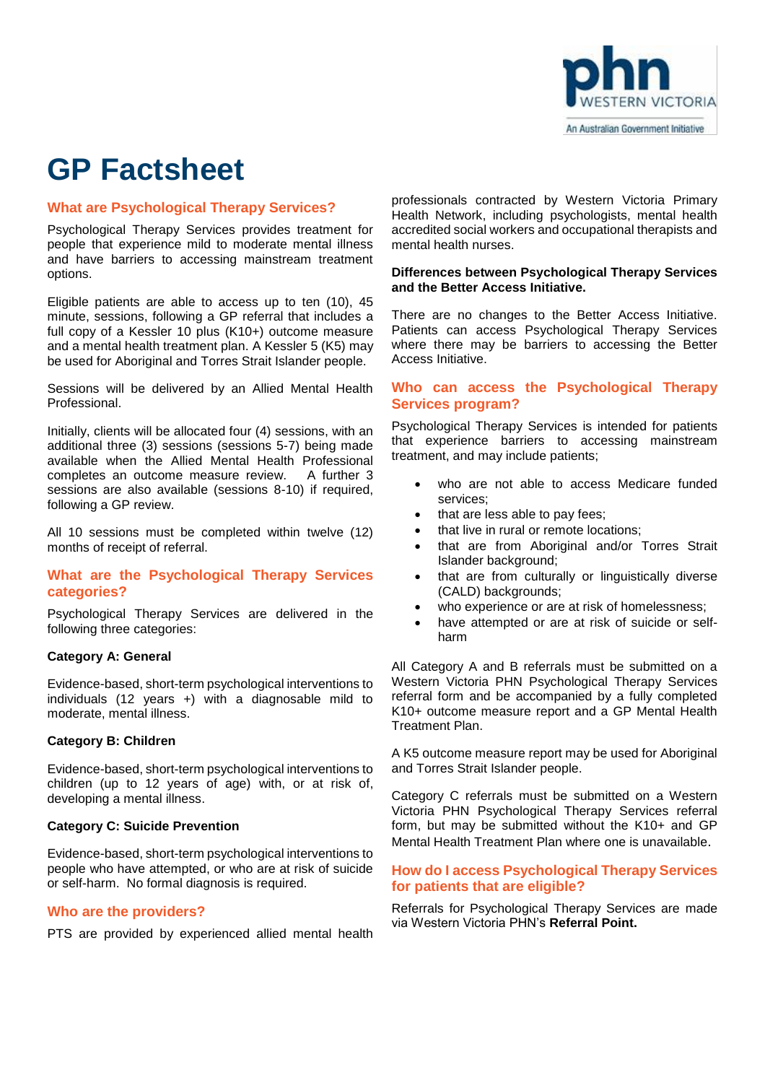

# **GP Factsheet**

## **What are Psychological Therapy Services?**

Psychological Therapy Services provides treatment for people that experience mild to moderate mental illness and have barriers to accessing mainstream treatment options.

Eligible patients are able to access up to ten (10), 45 minute, sessions, following a GP referral that includes a full copy of a Kessler 10 plus (K10+) outcome measure and a mental health treatment plan. A Kessler 5 (K5) may be used for Aboriginal and Torres Strait Islander people.

Sessions will be delivered by an Allied Mental Health Professional.

Initially, clients will be allocated four (4) sessions, with an additional three (3) sessions (sessions 5-7) being made available when the Allied Mental Health Professional completes an outcome measure review. A further 3 sessions are also available (sessions 8-10) if required, following a GP review.

All 10 sessions must be completed within twelve (12) months of receipt of referral.

# **What are the Psychological Therapy Services categories?**

Psychological Therapy Services are delivered in the following three categories:

## **Category A: General**

Evidence-based, short-term psychological interventions to individuals (12 years +) with a diagnosable mild to moderate, mental illness.

## **Category B: Children**

Evidence-based, short-term psychological interventions to children (up to 12 years of age) with, or at risk of, developing a mental illness.

### **Category C: Suicide Prevention**

Evidence-based, short-term psychological interventions to people who have attempted, or who are at risk of suicide or self-harm. No formal diagnosis is required.

### **Who are the providers?**

PTS are provided by experienced allied mental health

professionals contracted by Western Victoria Primary Health Network, including psychologists, mental health accredited social workers and occupational therapists and mental health nurses.

#### **Differences between Psychological Therapy Services and the Better Access Initiative.**

There are no changes to the Better Access Initiative. Patients can access Psychological Therapy Services where there may be barriers to accessing the Better Access Initiative.

## **Who can access the Psychological Therapy Services program?**

Psychological Therapy Services is intended for patients that experience barriers to accessing mainstream treatment, and may include patients;

- who are not able to access Medicare funded services;
- that are less able to pay fees;
- that live in rural or remote locations;
- that are from Aboriginal and/or Torres Strait Islander background;
- that are from culturally or linguistically diverse (CALD) backgrounds;
- who experience or are at risk of homelessness;
- have attempted or are at risk of suicide or selfharm

All Category A and B referrals must be submitted on a Western Victoria PHN Psychological Therapy Services referral form and be accompanied by a fully completed K10+ outcome measure report and a GP Mental Health Treatment Plan.

A K5 outcome measure report may be used for Aboriginal and Torres Strait Islander people.

Category C referrals must be submitted on a Western Victoria PHN Psychological Therapy Services referral form, but may be submitted without the K10+ and GP Mental Health Treatment Plan where one is unavailable.

## **How do I access Psychological Therapy Services for patients that are eligible?**

Referrals for Psychological Therapy Services are made via Western Victoria PHN's **Referral Point.**